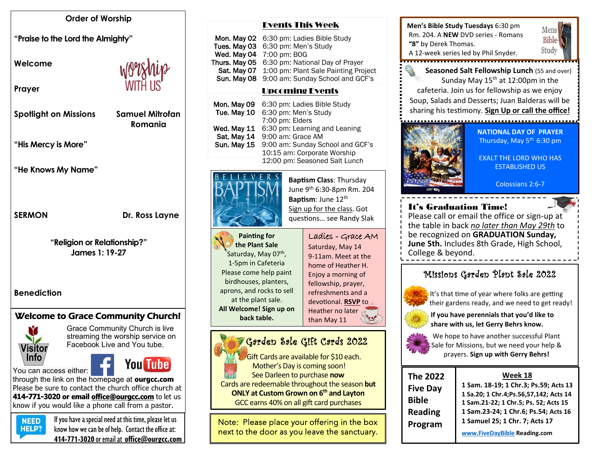#### **Order of Worship**

**"Praise to the Lord the Almighty"** 

**Welcome** 

**Prayer**

**Spotlight on Missions Samuel Mitrofan** 

 **Romania**

**"His Mercy is More"**

**"He Knows My Name"**

SERMON Dr. Ross Layne

**"Religion or Relationship?" James 1: 19-27**

**Benediction**

# Welcome to Grace Community Church!



Grace Community Church is live streaming the worship service on Facebook Live and You tube.

You can access either:



through the link on the homepage at **ourgcc.com**  Please be sure to contact the church office church at **414-771-3020 or email [office@ourgcc.com](mailto:office@ourgcc.com)** to let us know if you would like a phone call from a pastor.

 $N<sub>EED</sub>$  If you have a special need at this time, please let us **HELP?** know how we can be of help. Contact the office at: **414-771-3020** or email at **[office@ourgcc.com](mailto:office@ourgcc.com)**

#### Events This Week

| Mon. May 02   6:30 pm: Ladies Bible Study        |
|--------------------------------------------------|
| Tues. May 03   6:30 pm: Men's Study              |
| Wed. May 04   7:00 pm: BOG                       |
| Thurs. May 05 6:30 pm: National Day of Prayer    |
| Sat. May 07 1:00 pm: Plant Sale Painting Project |
| Sun. May 08 9:00 am: Sunday School and GCF's     |
|                                                  |

# Upcoming Events

| Mon. May 09<br>Tue. May 10 | 6:30 pm: Ladies Bible Study<br>6:30 pm: Men's Study |
|----------------------------|-----------------------------------------------------|
|                            | 7:00 pm: Elders                                     |
| Wed. May 11                | 6:30 pm: Learning and Leaning                       |
| Sat. May 14                | 9:00 am: Grace AM                                   |
| Sun. May 15                | 9:00 am: Sunday School and GCF's                    |
|                            | 10:15 am: Corporate Worship                         |
|                            | 12:00 pm: Seasoned Salt Lunch                       |
|                            |                                                     |



**Baptism Class**: Thursday June 9th 6:30-8pm Rm. 204 **Baptism**: June 12<sup>th</sup> Sign up for the class. Got questions… see Randy Slak

**Painting for the Plant Sale** Saturday, May 07<sup>th</sup>, 1-5pm in Cafeteria Please come help paint birdhouses, planters, aprons, and rocks to sell at the plant sale. **All Welcome! Sign up on back table.** 

#### Ladies - Grace AM Saturday, May 14 9-11am. Meet at the home of Heather H. Enjoy a morning of fellowship, prayer, refreshments and a

devotional. **RSVP** to Heather no later than May 11

#### Garden Sale Gift Cards 2022

 Gift Cards are available for \$10 each. Mother's Day is coming soon! See Darleen to purchase **now** Cards are redeemable throughout the season **but ONLY at Custom Grown on 6th and Layton**

GCC earns 40% on all gift card purchases

Note: Please place your offering in the box next to the door as you leave the sanctuary. ī



**Men's Bible Study Tuesdays** 6:30 pm Rm. 204. A **NEW** DVD series - Romans

**"8"** by Derek Thomas.

**NATIONAL DAY OF PRAYER** Thursday, May  $5<sup>th</sup>$  6:30 pm

Mens Bible-Study

EXALT THE LORD WHO HAS ESTABLISHED US

Colossians 2:6-7

# It's Graduation Time!

Please call or email the office or sign-up at the table in back *no later than May 29th* to be recognized on **GRADUATION Sunday, June 5th.** Includes 8th Grade, High School, College & beyond.

# Missions Garden Plant Sale 2022



 It's that time of year where folks are getting their gardens ready, and we need to get ready!

 **If you have perennials that you'd like to share with us, let Gerry Behrs know.**



We hope to have another successful Plant Sale for Missions, but we need your help & prayers. **Sign up with Gerry Behrs!**

| <b>The 2022</b> | Week 18                                   |
|-----------------|-------------------------------------------|
| <b>Five Day</b> | 1 Sam. 18-19; 1 Chr.3; Ps.59; Acts 13     |
| <b>Bible</b>    | 1 Sa.20; 1 Chr.4; Ps.56, 57, 142; Acts 14 |
|                 | 1 Sam.21-22; 1 Chr.5; Ps. 52; Acts 15     |
| <b>Reading</b>  | 1 Sam.23-24; 1 Chr.6; Ps.54; Acts 16      |
| Program         | 1 Samuel 25; 1 Chr. 7; Acts 17            |
|                 | www.FiveDayBible Reading.com              |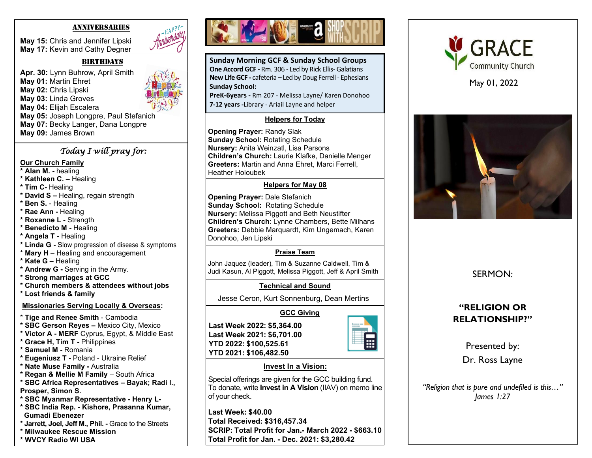#### ANNIVERSARIES

**May 15:** Chris and Jennifer Lipski **May 17:** Kevin and Cathy Degner

#### $BIRTHDAYS$

**Apr. 30:** Lynn Buhrow, April Smith **May 01:** Martin Ehret **May 02:** Chris Lipski **May 03:** Linda Groves **May 04:** Elijah Escalera **May 05:** Joseph Longpre, Paul Stefanich **May 07:** Becky Langer, Dana Longpre **May 09:** James Brown

### *Today I will pray for:*

#### **Our Church Family**

- **\* Alan M. -** healing
- **\* Kathleen C. –** Healing
- **\* Tim C-** Healing
- **\* David S –** Healing, regain strength
- **\* Ben S.** Healing
- **\* Rae Ann -** Healing
- **\* Roxanne L**  Strength
- **\* Benedicto M -** Healing
- **\* Angela T -** Healing
- **\* Linda G -** Slow progression of disease & symptoms
- \* **Mary H**  Healing and encouragement
- **\* Kate G –** Healing
- **\* Andrew G -** Serving in the Army.
- **\* Strong marriages at GCC**
- **\* Church members & attendees without jobs**
- **\* Lost friends & family**

## **Missionaries Serving Locally & Overseas:**

- \* **Tige and Renee Smith** Cambodia
- **\* SBC Gerson Reyes –** Mexico City, Mexico
- **\* Victor A - MERF** Cyprus, Egypt, & Middle East
- **\* Grace H, Tim T -** Philippines
- **\* Samuel M -** Romania
- **\* Eugeniusz T -** Poland Ukraine Relief
- **\* Nate Muse Family -** Australia
- **\* Regan & Mellie M Family**  South Africa
- **\* SBC Africa Representatives – Bayak; Radi I.,**
- **Prosper, Simon S.**
- **\* SBC Myanmar Representative - Henry L-**
- **\* SBC India Rep. - Kishore, Prasanna Kumar, Gumadi Ebenezer**
- **\* Jarrett, Joel, Jeff M., Phil. -** Grace to the Streets
- **\* Milwaukee Rescue Mission**





**Sunday Morning GCF & Sunday School Groups One Accord GCF -** Rm. 306 - Led by Rick Ellis- Galatians **New Life GCF -** cafeteria – Led by Doug Ferrell - Ephesians **Sunday School:**

**PreK-6years -** Rm 207 - Melissa Layne/ Karen Donohoo **7-12 years -**Library - Ariail Layne and helper

## **Helpers for Today**

**Opening Prayer:** Randy Slak **Sunday School:** Rotating Schedule **Nursery:** Anita Weinzatl, Lisa Parsons **Children's Church:** Laurie Klafke, Danielle Menger **Greeters:** Martin and Anna Ehret, Marci Ferrell, Heather Holoubek

## **Helpers for May 08**

 Donohoo, Jen Lipski **Opening Prayer:** Dale Stefanich **Sunday School:** Rotating Schedule **Nursery:** Melissa Piggott and Beth Neustifter **Children's Church**: Lynne Chambers, Bette Milhans **Greeters:** Debbie Marquardt, Kim Ungemach, Karen

## **Praise Team**

John Jaquez (leader), Tim & Suzanne Caldwell, Tim & Judi Kasun, Al Piggott, Melissa Piggott, Jeff & April Smith

Jesse Ceron, Kurt Sonnenburg, Dean Mertins

**Last Week 2022: \$5,364.00 Last Week 2021: \$6,701.00 YTD 2022: \$100,525.61 YTD 2021: \$106,482.50**



#### **Invest In a Vision:**

Special offerings are given for the GCC building fund. To donate, write **Invest in A Vision** (IIAV) on memo line of your check.

**Last Week: \$40.00 Total Received: \$316,457.34 SCRIP: Total Profit for Jan.- March 2022 - \$663.10 Total Profit for Jan. - Dec. 2021: \$3,280.42**



May 01, 2022



SERMON:

# **"RELIGION OR RELATIONSHIP?"**

Presented by: Dr. Ross Layne

*"Religion that is pure and undefiled is this…" James 1:27*

- **GCC Giving**
-